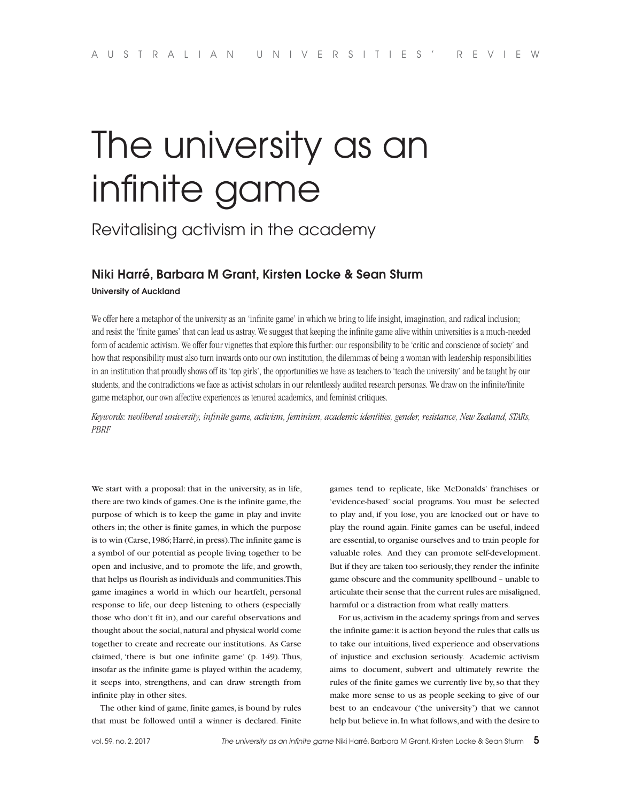# The university as an infinite game

## Revitalising activism in the academy

### **Niki Harré, Barbara M Grant, Kirsten Locke & Sean Sturm**

**University of Auckland**

We offer here a metaphor of the university as an 'infinite game' in which we bring to life insight, imagination, and radical inclusion; and resist the 'finite games' that can lead us astray. We suggest that keeping the infinite game alive within universities is a much-needed form of academic activism. We offer four vignettes that explore this further: our responsibility to be 'critic and conscience of society' and how that responsibility must also turn inwards onto our own institution, the dilemmas of being a woman with leadership responsibilities in an institution that proudly shows off its 'top girls', the opportunities we have as teachers to 'teach the university' and be taught by our students, and the contradictions we face as activist scholars in our relentlessly audited research personas. We draw on the infinite/finite game metaphor, our own affective experiences as tenured academics, and feminist critiques.

*Keywords: neoliberal university, infinite game, activism, feminism, academic identities, gender, resistance, New Zealand, STARs, PBRF*

We start with a proposal: that in the university, as in life, there are two kinds of games. One is the infinite game, the purpose of which is to keep the game in play and invite others in; the other is finite games, in which the purpose is to win (Carse, 1986; Harré, in press). The infinite game is a symbol of our potential as people living together to be open and inclusive, and to promote the life, and growth, that helps us flourish as individuals and communities. This game imagines a world in which our heartfelt, personal response to life, our deep listening to others (especially those who don't fit in), and our careful observations and thought about the social, natural and physical world come together to create and recreate our institutions. As Carse claimed, 'there is but one infinite game' (p. 149). Thus, insofar as the infinite game is played within the academy, it seeps into, strengthens, and can draw strength from infinite play in other sites.

The other kind of game, finite games, is bound by rules that must be followed until a winner is declared. Finite

games tend to replicate, like McDonalds' franchises or 'evidence-based' social programs. You must be selected to play and, if you lose, you are knocked out or have to play the round again. Finite games can be useful, indeed are essential, to organise ourselves and to train people for valuable roles. And they can promote self-development. But if they are taken too seriously, they render the infinite game obscure and the community spellbound – unable to articulate their sense that the current rules are misaligned, harmful or a distraction from what really matters.

For us, activism in the academy springs from and serves the infinite game: it is action beyond the rules that calls us to take our intuitions, lived experience and observations of injustice and exclusion seriously. Academic activism aims to document, subvert and ultimately rewrite the rules of the finite games we currently live by, so that they make more sense to us as people seeking to give of our best to an endeavour ('the university') that we cannot help but believe in. In what follows, and with the desire to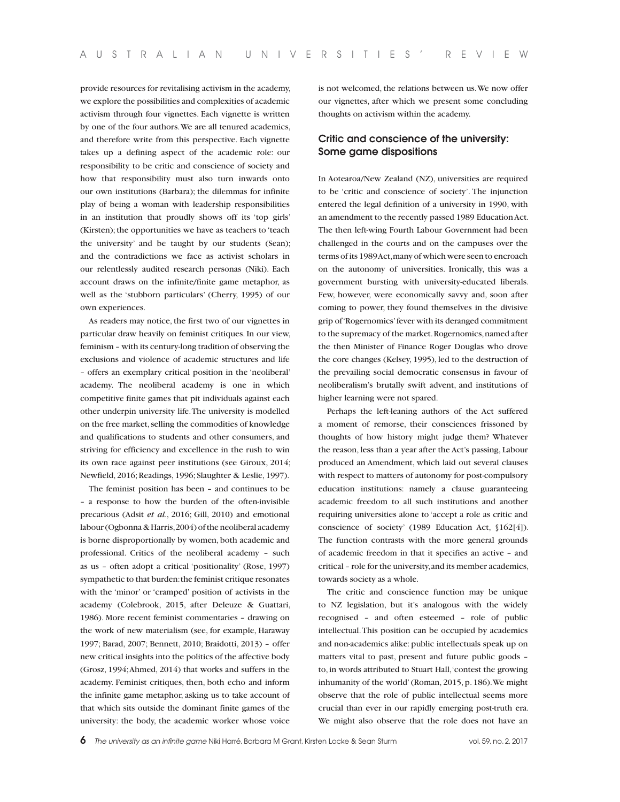provide resources for revitalising activism in the academy, we explore the possibilities and complexities of academic activism through four vignettes. Each vignette is written by one of the four authors. We are all tenured academics, and therefore write from this perspective. Each vignette takes up a defining aspect of the academic role: our responsibility to be critic and conscience of society and how that responsibility must also turn inwards onto our own institutions (Barbara); the dilemmas for infinite play of being a woman with leadership responsibilities in an institution that proudly shows off its 'top girls' (Kirsten); the opportunities we have as teachers to 'teach the university' and be taught by our students (Sean); and the contradictions we face as activist scholars in our relentlessly audited research personas (Niki). Each account draws on the infinite/finite game metaphor, as well as the 'stubborn particulars' (Cherry, 1995) of our own experiences.

As readers may notice, the first two of our vignettes in particular draw heavily on feminist critiques. In our view, feminism – with its century-long tradition of observing the exclusions and violence of academic structures and life – offers an exemplary critical position in the 'neoliberal' academy. The neoliberal academy is one in which competitive finite games that pit individuals against each other underpin university life. The university is modelled on the free market, selling the commodities of knowledge and qualifications to students and other consumers, and striving for efficiency and excellence in the rush to win its own race against peer institutions (see Giroux, 2014; Newfield, 2016; Readings, 1996; Slaughter & Leslie, 1997).

The feminist position has been – and continues to be – a response to how the burden of the often-invisible precarious (Adsit *et al.*, 2016; Gill, 2010) and emotional labour (Ogbonna & Harris, 2004) of the neoliberal academy is borne disproportionally by women, both academic and professional. Critics of the neoliberal academy – such as us – often adopt a critical 'positionality' (Rose, 1997) sympathetic to that burden: the feminist critique resonates with the 'minor' or 'cramped' position of activists in the academy (Colebrook, 2015, after Deleuze & Guattari, 1986). More recent feminist commentaries – drawing on the work of new materialism (see, for example, Haraway 1997; Barad, 2007; Bennett, 2010; Braidotti, 2013) – offer new critical insights into the politics of the affective body (Grosz, 1994; Ahmed, 2014) that works and suffers in the academy. Feminist critiques, then, both echo and inform the infinite game metaphor, asking us to take account of that which sits outside the dominant finite games of the university: the body, the academic worker whose voice

is not welcomed, the relations between us. We now offer our vignettes, after which we present some concluding thoughts on activism within the academy.

#### **Critic and conscience of the university: Some game dispositions**

In Aotearoa/New Zealand (NZ), universities are required to be 'critic and conscience of society'. The injunction entered the legal definition of a university in 1990, with an amendment to the recently passed 1989 Education Act. The then left-wing Fourth Labour Government had been challenged in the courts and on the campuses over the terms of its 1989 Act, many of which were seen to encroach on the autonomy of universities. Ironically, this was a government bursting with university-educated liberals. Few, however, were economically savvy and, soon after coming to power, they found themselves in the divisive grip of 'Rogernomics' fever with its deranged commitment to the supremacy of the market. Rogernomics, named after the then Minister of Finance Roger Douglas who drove the core changes (Kelsey, 1995), led to the destruction of the prevailing social democratic consensus in favour of neoliberalism's brutally swift advent, and institutions of higher learning were not spared.

Perhaps the left-leaning authors of the Act suffered a moment of remorse, their consciences frissoned by thoughts of how history might judge them? Whatever the reason, less than a year after the Act's passing, Labour produced an Amendment, which laid out several clauses with respect to matters of autonomy for post-compulsory education institutions: namely a clause guaranteeing academic freedom to all such institutions and another requiring universities alone to 'accept a role as critic and conscience of society' (1989 Education Act, §162[4]). The function contrasts with the more general grounds of academic freedom in that it specifies an active – and critical – role for the university, and its member academics, towards society as a whole.

The critic and conscience function may be unique to NZ legislation, but it's analogous with the widely recognised – and often esteemed – role of public intellectual. This position can be occupied by academics and non-academics alike: public intellectuals speak up on matters vital to past, present and future public goods – to, in words attributed to Stuart Hall, 'contest the growing inhumanity of the world' (Roman, 2015, p. 186). We might observe that the role of public intellectual seems more crucial than ever in our rapidly emerging post-truth era. We might also observe that the role does not have an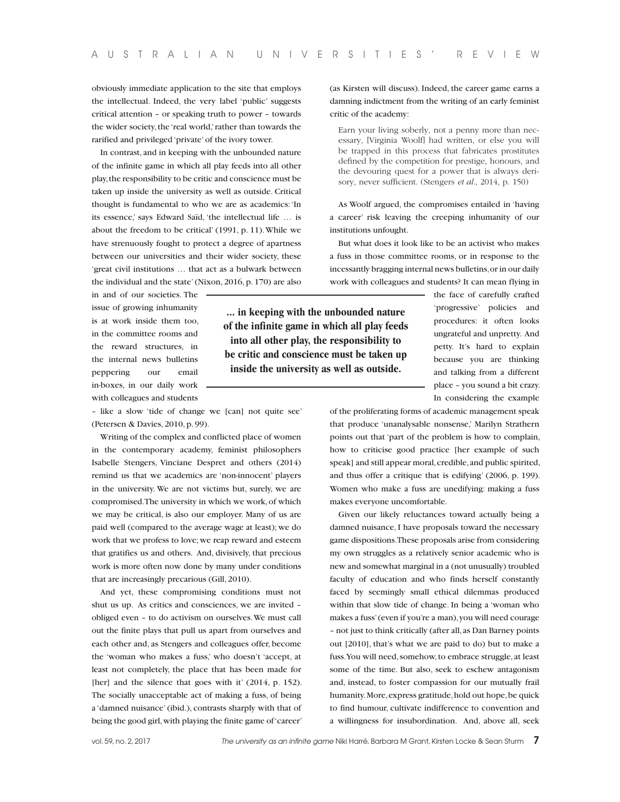obviously immediate application to the site that employs the intellectual. Indeed, the very label 'public' suggests critical attention – or speaking truth to power – towards the wider society, the 'real world,' rather than towards the rarified and privileged 'private' of the ivory tower.

In contrast, and in keeping with the unbounded nature of the infinite game in which all play feeds into all other play, the responsibility to be critic and conscience must be taken up inside the university as well as outside. Critical thought is fundamental to who we are as academics: 'In its essence,' says Edward Saïd, 'the intellectual life … is about the freedom to be critical' (1991, p. 11). While we have strenuously fought to protect a degree of apartness between our universities and their wider society, these 'great civil institutions … that act as a bulwark between the individual and the state' (Nixon, 2016, p. 170) are also

in and of our societies. The issue of growing inhumanity is at work inside them too, in the committee rooms and the reward structures, in the internal news bulletins peppering our email in-boxes, in our daily work with colleagues and students

– like a slow 'tide of change we [can] not quite see' (Petersen & Davies, 2010, p. 99).

Writing of the complex and conflicted place of women in the contemporary academy, feminist philosophers Isabelle Stengers, Vinciane Despret and others (2014) remind us that we academics are 'non-innocent' players in the university. We are not victims but, surely, we are compromised. The university in which we work, of which we may be critical, is also our employer. Many of us are paid well (compared to the average wage at least); we do work that we profess to love; we reap reward and esteem that gratifies us and others. And, divisively, that precious work is more often now done by many under conditions that are increasingly precarious (Gill, 2010).

And yet, these compromising conditions must not shut us up. As critics and consciences, we are invited – obliged even – to do activism on ourselves. We must call out the finite plays that pull us apart from ourselves and each other and, as Stengers and colleagues offer, become the 'woman who makes a fuss,' who doesn't 'accept, at least not completely, the place that has been made for [her] and the silence that goes with it' (2014, p. 152). The socially unacceptable act of making a fuss, of being a 'damned nuisance' (ibid.), contrasts sharply with that of being the good girl, with playing the finite game of 'career'

(as Kirsten will discuss). Indeed, the career game earns a damning indictment from the writing of an early feminist critic of the academy:

Earn your living soberly, not a penny more than necessary, [Virginia Woolf] had written, or else you will be trapped in this process that fabricates prostitutes defined by the competition for prestige, honours, and the devouring quest for a power that is always derisory, never sufficient. (Stengers *et al.*, 2014, p. 150)

As Woolf argued, the compromises entailed in 'having a career' risk leaving the creeping inhumanity of our institutions unfought.

But what does it look like to be an activist who makes a fuss in those committee rooms, or in response to the incessantly bragging internal news bulletins, or in our daily work with colleagues and students? It can mean flying in

**... in keeping with the unbounded nature of the infinite game in which all play feeds into all other play, the responsibility to be critic and conscience must be taken up inside the university as well as outside.**

the face of carefully crafted 'progressive' policies and procedures: it often looks ungrateful and unpretty. And petty. It's hard to explain because you are thinking and talking from a different place – you sound a bit crazy. In considering the example

of the proliferating forms of academic management speak that produce 'unanalysable nonsense,' Marilyn Strathern points out that 'part of the problem is how to complain, how to criticise good practice [her example of such speak] and still appear moral, credible, and public spirited, and thus offer a critique that is edifying' (2006, p. 199). Women who make a fuss are unedifying: making a fuss makes everyone uncomfortable.

Given our likely reluctances toward actually being a damned nuisance, I have proposals toward the necessary game dispositions. These proposals arise from considering my own struggles as a relatively senior academic who is new and somewhat marginal in a (not unusually) troubled faculty of education and who finds herself constantly faced by seemingly small ethical dilemmas produced within that slow tide of change. In being a 'woman who makes a fuss' (even if you're a man), you will need courage – not just to think critically (after all, as Dan Barney points out [2010], that's what we are paid to do) but to make a fuss. You will need, somehow, to embrace struggle, at least some of the time. But also, seek to eschew antagonism and, instead, to foster compassion for our mutually frail humanity. More, express gratitude, hold out hope, be quick to find humour, cultivate indifference to convention and a willingness for insubordination. And, above all, seek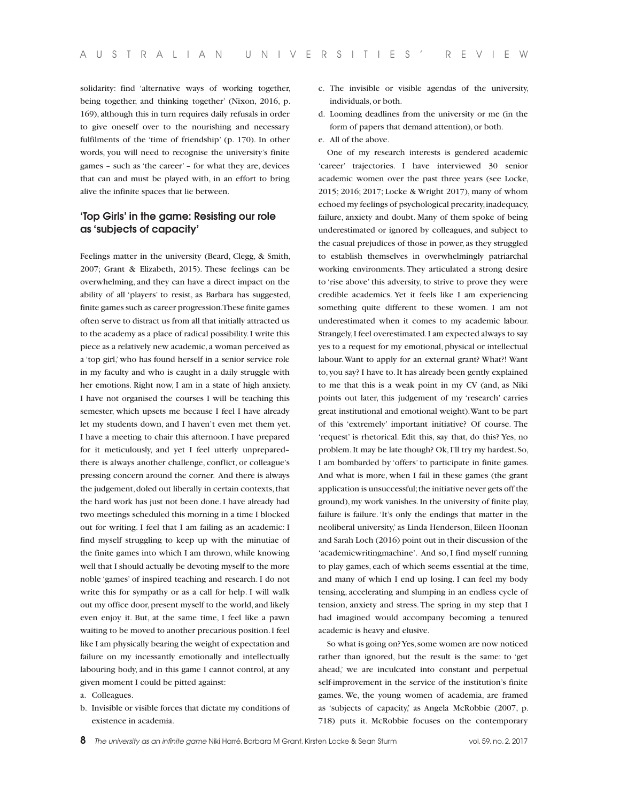solidarity: find 'alternative ways of working together, being together, and thinking together' (Nixon, 2016, p. 169), although this in turn requires daily refusals in order to give oneself over to the nourishing and necessary fulfilments of the 'time of friendship' (p. 170). In other words, you will need to recognise the university's finite games – such as 'the career' – for what they are, devices that can and must be played with, in an effort to bring alive the infinite spaces that lie between.

#### **'Top Girls' in the game: Resisting our role as 'subjects of capacity'**

Feelings matter in the university (Beard, Clegg, & Smith, 2007; Grant & Elizabeth, 2015). These feelings can be overwhelming, and they can have a direct impact on the ability of all 'players' to resist, as Barbara has suggested, finite games such as career progression. These finite games often serve to distract us from all that initially attracted us to the academy as a place of radical possibility. I write this piece as a relatively new academic, a woman perceived as a 'top girl,' who has found herself in a senior service role in my faculty and who is caught in a daily struggle with her emotions. Right now, I am in a state of high anxiety. I have not organised the courses I will be teaching this semester, which upsets me because I feel I have already let my students down, and I haven't even met them yet. I have a meeting to chair this afternoon. I have prepared for it meticulously, and yet I feel utterly unprepared– there is always another challenge, conflict, or colleague's pressing concern around the corner. And there is always the judgement, doled out liberally in certain contexts, that the hard work has just not been done. I have already had two meetings scheduled this morning in a time I blocked out for writing. I feel that I am failing as an academic: I find myself struggling to keep up with the minutiae of the finite games into which I am thrown, while knowing well that I should actually be devoting myself to the more noble 'games' of inspired teaching and research. I do not write this for sympathy or as a call for help. I will walk out my office door, present myself to the world, and likely even enjoy it. But, at the same time, I feel like a pawn waiting to be moved to another precarious position. I feel like I am physically bearing the weight of expectation and failure on my incessantly emotionally and intellectually labouring body, and in this game I cannot control, at any given moment I could be pitted against:

a. Colleagues.

b. Invisible or visible forces that dictate my conditions of existence in academia.

- c. The invisible or visible agendas of the university, individuals, or both.
- d. Looming deadlines from the university or me (in the form of papers that demand attention), or both.
- e. All of the above.

One of my research interests is gendered academic 'career' trajectories. I have interviewed 30 senior academic women over the past three years (see Locke, 2015; 2016; 2017; Locke & Wright 2017), many of whom echoed my feelings of psychological precarity, inadequacy, failure, anxiety and doubt. Many of them spoke of being underestimated or ignored by colleagues, and subject to the casual prejudices of those in power, as they struggled to establish themselves in overwhelmingly patriarchal working environments. They articulated a strong desire to 'rise above' this adversity, to strive to prove they were credible academics. Yet it feels like I am experiencing something quite different to these women. I am not underestimated when it comes to my academic labour. Strangely, I feel overestimated. I am expected always to say yes to a request for my emotional, physical or intellectual labour. Want to apply for an external grant? What?! Want to, you say? I have to. It has already been gently explained to me that this is a weak point in my CV (and, as Niki points out later, this judgement of my 'research' carries great institutional and emotional weight). Want to be part of this 'extremely' important initiative? Of course. The 'request' is rhetorical. Edit this, say that, do this? Yes, no problem. It may be late though? Ok, I'll try my hardest. So, I am bombarded by 'offers' to participate in finite games. And what is more, when I fail in these games (the grant application is unsuccessful; the initiative never gets off the ground), my work vanishes. In the university of finite play, failure is failure. 'It's only the endings that matter in the neoliberal university,' as Linda Henderson, Eileen Hoonan and Sarah Loch (2016) point out in their discussion of the 'academicwritingmachine'. And so, I find myself running to play games, each of which seems essential at the time, and many of which I end up losing. I can feel my body tensing, accelerating and slumping in an endless cycle of tension, anxiety and stress. The spring in my step that I had imagined would accompany becoming a tenured academic is heavy and elusive.

So what is going on? Yes, some women are now noticed rather than ignored, but the result is the same: to 'get ahead,' we are inculcated into constant and perpetual self-improvement in the service of the institution's finite games. We, the young women of academia, are framed as 'subjects of capacity,' as Angela McRobbie (2007, p. 718) puts it. McRobbie focuses on the contemporary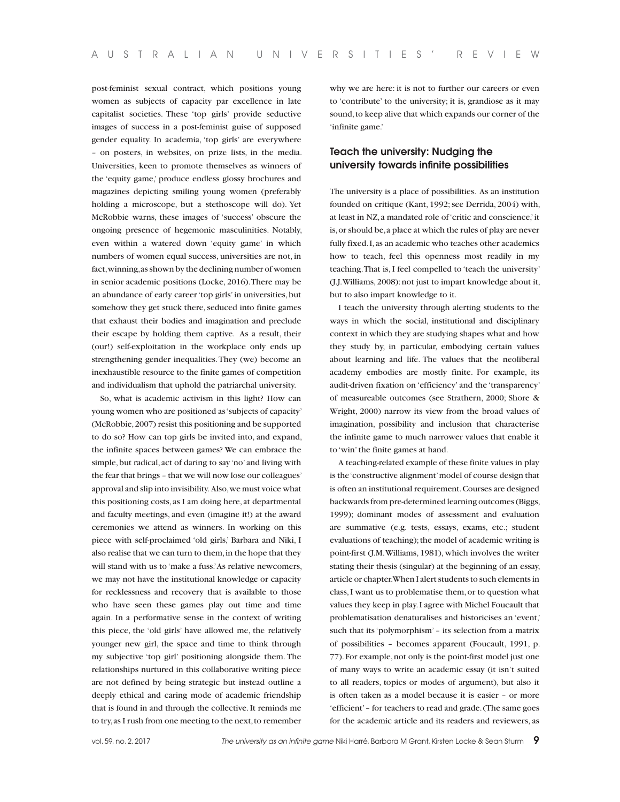post-feminist sexual contract, which positions young women as subjects of capacity par excellence in late capitalist societies. These 'top girls' provide seductive images of success in a post-feminist guise of supposed gender equality. In academia, 'top girls' are everywhere – on posters, in websites, on prize lists, in the media. Universities, keen to promote themselves as winners of the 'equity game,' produce endless glossy brochures and magazines depicting smiling young women (preferably holding a microscope, but a stethoscope will do). Yet McRobbie warns, these images of 'success' obscure the ongoing presence of hegemonic masculinities. Notably, even within a watered down 'equity game' in which numbers of women equal success, universities are not, in fact, winning, as shown by the declining number of women in senior academic positions (Locke, 2016). There may be an abundance of early career 'top girls' in universities, but somehow they get stuck there, seduced into finite games that exhaust their bodies and imagination and preclude their escape by holding them captive. As a result, their (our!) self-exploitation in the workplace only ends up strengthening gender inequalities. They (we) become an inexhaustible resource to the finite games of competition and individualism that uphold the patriarchal university.

So, what is academic activism in this light? How can young women who are positioned as 'subjects of capacity' (McRobbie, 2007) resist this positioning and be supported to do so? How can top girls be invited into, and expand, the infinite spaces between games? We can embrace the simple, but radical, act of daring to say 'no' and living with the fear that brings – that we will now lose our colleagues' approval and slip into invisibility. Also, we must voice what this positioning costs, as I am doing here, at departmental and faculty meetings, and even (imagine it!) at the award ceremonies we attend as winners. In working on this piece with self-proclaimed 'old girls,' Barbara and Niki, I also realise that we can turn to them, in the hope that they will stand with us to 'make a fuss.' As relative newcomers, we may not have the institutional knowledge or capacity for recklessness and recovery that is available to those who have seen these games play out time and time again. In a performative sense in the context of writing this piece, the 'old girls' have allowed me, the relatively younger new girl, the space and time to think through my subjective 'top girl' positioning alongside them. The relationships nurtured in this collaborative writing piece are not defined by being strategic but instead outline a deeply ethical and caring mode of academic friendship that is found in and through the collective. It reminds me to try, as I rush from one meeting to the next, to remember

why we are here: it is not to further our careers or even to 'contribute' to the university; it is, grandiose as it may sound, to keep alive that which expands our corner of the 'infinite game.'

#### **Teach the university: Nudging the university towards infinite possibilities**

The university is a place of possibilities. As an institution founded on critique (Kant, 1992; see Derrida, 2004) with, at least in NZ, a mandated role of 'critic and conscience,' it is, or should be, a place at which the rules of play are never fully fixed. I, as an academic who teaches other academics how to teach, feel this openness most readily in my teaching. That is, I feel compelled to 'teach the university' (J.J. Williams, 2008): not just to impart knowledge about it, but to also impart knowledge to it.

I teach the university through alerting students to the ways in which the social, institutional and disciplinary context in which they are studying shapes what and how they study by, in particular, embodying certain values about learning and life. The values that the neoliberal academy embodies are mostly finite. For example, its audit-driven fixation on 'efficiency' and the 'transparency' of measureable outcomes (see Strathern, 2000; Shore & Wright, 2000) narrow its view from the broad values of imagination, possibility and inclusion that characterise the infinite game to much narrower values that enable it to 'win' the finite games at hand.

A teaching-related example of these finite values in play is the 'constructive alignment' model of course design that is often an institutional requirement. Courses are designed backwards from pre-determined learning outcomes (Biggs, 1999); dominant modes of assessment and evaluation are summative (e.g. tests, essays, exams, etc.; student evaluations of teaching); the model of academic writing is point-first (J.M. Williams, 1981), which involves the writer stating their thesis (singular) at the beginning of an essay, article or chapter. When I alert students to such elements in class, I want us to problematise them, or to question what values they keep in play. I agree with Michel Foucault that problematisation denaturalises and historicises an 'event,' such that its 'polymorphism' – its selection from a matrix of possibilities – becomes apparent (Foucault, 1991, p. 77). For example, not only is the point-first model just one of many ways to write an academic essay (it isn't suited to all readers, topics or modes of argument), but also it is often taken as a model because it is easier – or more 'efficient' – for teachers to read and grade. (The same goes for the academic article and its readers and reviewers, as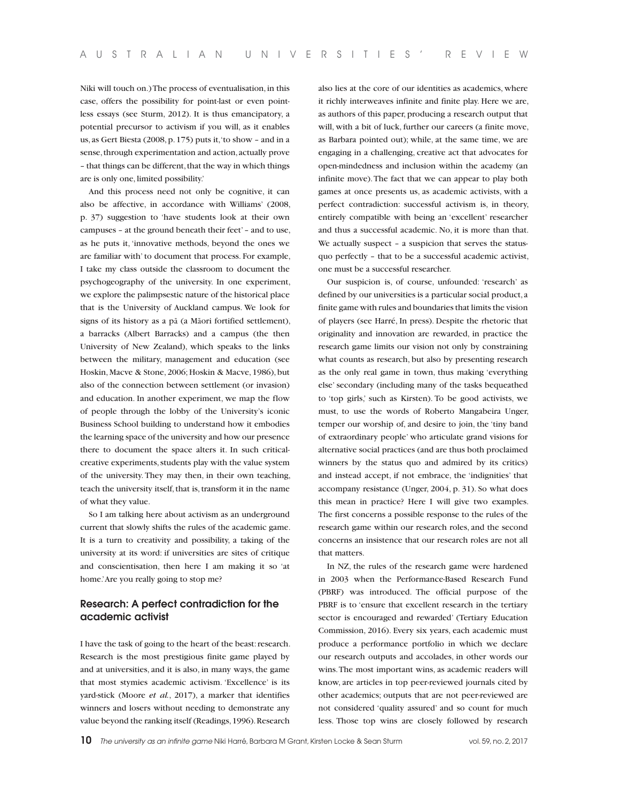Niki will touch on.) The process of eventualisation, in this case, offers the possibility for point-last or even pointless essays (see Sturm, 2012). It is thus emancipatory, a potential precursor to activism if you will, as it enables us, as Gert Biesta (2008, p. 175) puts it, 'to show – and in a sense, through experimentation and action, actually prove – that things can be different, that the way in which things are is only one, limited possibility.'

And this process need not only be cognitive, it can also be affective, in accordance with Williams' (2008, p. 37) suggestion to 'have students look at their own campuses – at the ground beneath their feet' – and to use, as he puts it, 'innovative methods, beyond the ones we are familiar with' to document that process. For example, I take my class outside the classroom to document the psychogeography of the university. In one experiment, we explore the palimpsestic nature of the historical place that is the University of Auckland campus. We look for signs of its history as a pā (a Māori fortified settlement), a barracks (Albert Barracks) and a campus (the then University of New Zealand), which speaks to the links between the military, management and education (see Hoskin, Macve & Stone, 2006; Hoskin & Macve, 1986), but also of the connection between settlement (or invasion) and education. In another experiment, we map the flow of people through the lobby of the University's iconic Business School building to understand how it embodies the learning space of the university and how our presence there to document the space alters it. In such criticalcreative experiments, students play with the value system of the university. They may then, in their own teaching, teach the university itself, that is, transform it in the name of what they value.

So I am talking here about activism as an underground current that slowly shifts the rules of the academic game. It is a turn to creativity and possibility, a taking of the university at its word: if universities are sites of critique and conscientisation, then here I am making it so 'at home.' Are you really going to stop me?

#### **Research: A perfect contradiction for the academic activist**

I have the task of going to the heart of the beast: research. Research is the most prestigious finite game played by and at universities, and it is also, in many ways, the game that most stymies academic activism. 'Excellence' is its yard-stick (Moore *et al.*, 2017), a marker that identifies winners and losers without needing to demonstrate any value beyond the ranking itself (Readings, 1996). Research

also lies at the core of our identities as academics, where it richly interweaves infinite and finite play. Here we are, as authors of this paper, producing a research output that will, with a bit of luck, further our careers (a finite move, as Barbara pointed out); while, at the same time, we are engaging in a challenging, creative act that advocates for open-mindedness and inclusion within the academy (an infinite move). The fact that we can appear to play both games at once presents us, as academic activists, with a perfect contradiction: successful activism is, in theory, entirely compatible with being an 'excellent' researcher and thus a successful academic. No, it is more than that. We actually suspect – a suspicion that serves the statusquo perfectly – that to be a successful academic activist, one must be a successful researcher.

Our suspicion is, of course, unfounded: 'research' as defined by our universities is a particular social product, a finite game with rules and boundaries that limits the vision of players (see Harré, In press). Despite the rhetoric that originality and innovation are rewarded, in practice the research game limits our vision not only by constraining what counts as research, but also by presenting research as the only real game in town, thus making 'everything else' secondary (including many of the tasks bequeathed to 'top girls,' such as Kirsten). To be good activists, we must, to use the words of Roberto Mangabeira Unger, temper our worship of, and desire to join, the 'tiny band of extraordinary people' who articulate grand visions for alternative social practices (and are thus both proclaimed winners by the status quo and admired by its critics) and instead accept, if not embrace, the 'indignities' that accompany resistance (Unger, 2004, p. 31). So what does this mean in practice? Here I will give two examples. The first concerns a possible response to the rules of the research game within our research roles, and the second concerns an insistence that our research roles are not all that matters.

In NZ, the rules of the research game were hardened in 2003 when the Performance-Based Research Fund (PBRF) was introduced. The official purpose of the PBRF is to 'ensure that excellent research in the tertiary sector is encouraged and rewarded' (Tertiary Education Commission, 2016). Every six years, each academic must produce a performance portfolio in which we declare our research outputs and accolades, in other words our wins. The most important wins, as academic readers will know, are articles in top peer-reviewed journals cited by other academics; outputs that are not peer-reviewed are not considered 'quality assured' and so count for much less. Those top wins are closely followed by research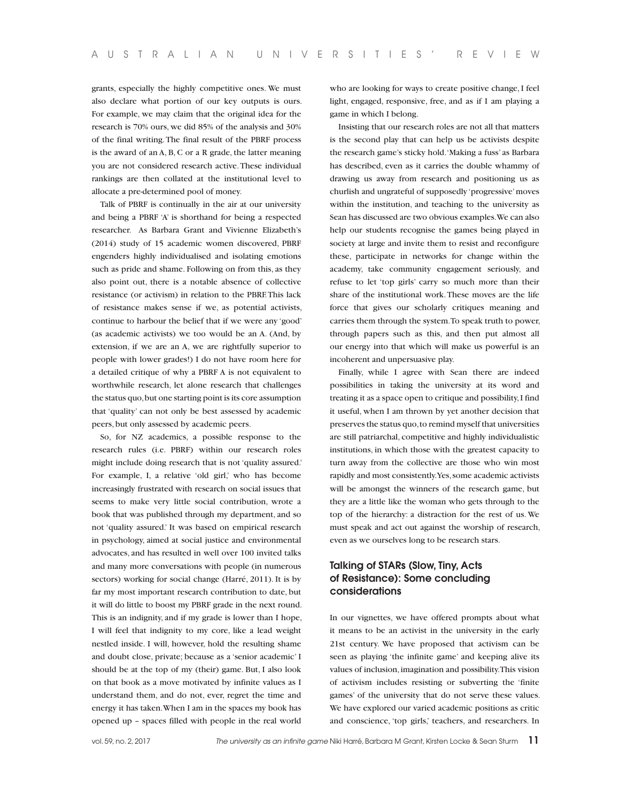grants, especially the highly competitive ones. We must also declare what portion of our key outputs is ours. For example, we may claim that the original idea for the research is 70% ours, we did 85% of the analysis and 30% of the final writing. The final result of the PBRF process is the award of an A, B, C or a R grade, the latter meaning you are not considered research active. These individual rankings are then collated at the institutional level to allocate a pre-determined pool of money.

Talk of PBRF is continually in the air at our university and being a PBRF 'A' is shorthand for being a respected researcher. As Barbara Grant and Vivienne Elizabeth's (2014) study of 15 academic women discovered, PBRF engenders highly individualised and isolating emotions such as pride and shame. Following on from this, as they also point out, there is a notable absence of collective resistance (or activism) in relation to the PBRF. This lack of resistance makes sense if we, as potential activists, continue to harbour the belief that if we were any 'good' (as academic activists) we too would be an A. (And, by extension, if we are an A, we are rightfully superior to people with lower grades!) I do not have room here for a detailed critique of why a PBRF A is not equivalent to worthwhile research, let alone research that challenges the status quo, but one starting point is its core assumption that 'quality' can not only be best assessed by academic peers, but only assessed by academic peers.

So, for NZ academics, a possible response to the research rules (i.e. PBRF) within our research roles might include doing research that is not 'quality assured.' For example, I, a relative 'old girl,' who has become increasingly frustrated with research on social issues that seems to make very little social contribution, wrote a book that was published through my department, and so not 'quality assured.' It was based on empirical research in psychology, aimed at social justice and environmental advocates, and has resulted in well over 100 invited talks and many more conversations with people (in numerous sectors) working for social change (Harré, 2011). It is by far my most important research contribution to date, but it will do little to boost my PBRF grade in the next round. This is an indignity, and if my grade is lower than I hope, I will feel that indignity to my core, like a lead weight nestled inside. I will, however, hold the resulting shame and doubt close, private; because as a 'senior academic' I should be at the top of my (their) game. But, I also look on that book as a move motivated by infinite values as I understand them, and do not, ever, regret the time and energy it has taken. When I am in the spaces my book has opened up – spaces filled with people in the real world

who are looking for ways to create positive change, I feel light, engaged, responsive, free, and as if I am playing a game in which I belong.

Insisting that our research roles are not all that matters is the second play that can help us be activists despite the research game's sticky hold. 'Making a fuss' as Barbara has described, even as it carries the double whammy of drawing us away from research and positioning us as churlish and ungrateful of supposedly 'progressive' moves within the institution, and teaching to the university as Sean has discussed are two obvious examples. We can also help our students recognise the games being played in society at large and invite them to resist and reconfigure these, participate in networks for change within the academy, take community engagement seriously, and refuse to let 'top girls' carry so much more than their share of the institutional work. These moves are the life force that gives our scholarly critiques meaning and carries them through the system. To speak truth to power, through papers such as this, and then put almost all our energy into that which will make us powerful is an incoherent and unpersuasive play.

Finally, while I agree with Sean there are indeed possibilities in taking the university at its word and treating it as a space open to critique and possibility, I find it useful, when I am thrown by yet another decision that preserves the status quo, to remind myself that universities are still patriarchal, competitive and highly individualistic institutions, in which those with the greatest capacity to turn away from the collective are those who win most rapidly and most consistently. Yes, some academic activists will be amongst the winners of the research game, but they are a little like the woman who gets through to the top of the hierarchy: a distraction for the rest of us. We must speak and act out against the worship of research, even as we ourselves long to be research stars.

#### **Talking of STARs (Slow, Tiny, Acts of Resistance): Some concluding considerations**

In our vignettes, we have offered prompts about what it means to be an activist in the university in the early 21st century. We have proposed that activism can be seen as playing 'the infinite game' and keeping alive its values of inclusion, imagination and possibility. This vision of activism includes resisting or subverting the 'finite games' of the university that do not serve these values. We have explored our varied academic positions as critic and conscience, 'top girls,' teachers, and researchers. In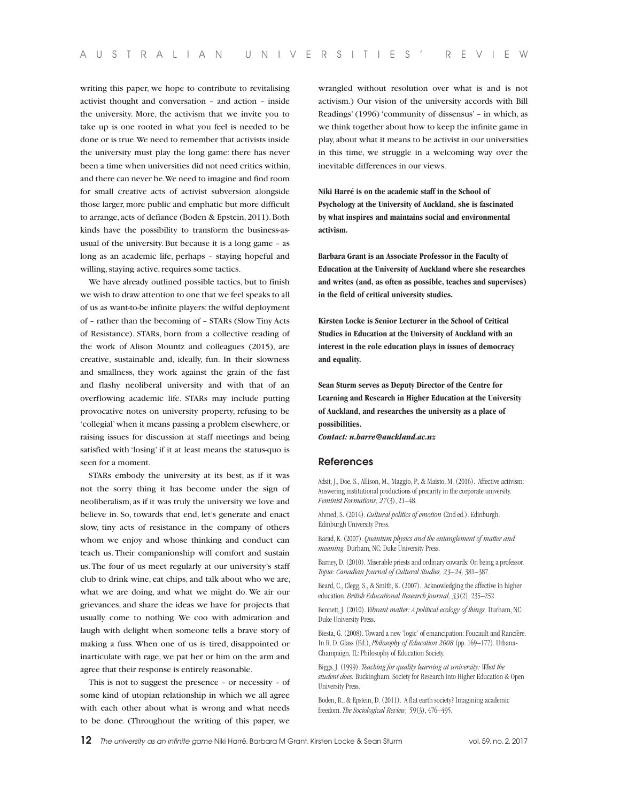writing this paper, we hope to contribute to revitalising activist thought and conversation – and action – inside the university. More, the activism that we invite you to take up is one rooted in what you feel is needed to be done or is true. We need to remember that activists inside the university must play the long game: there has never been a time when universities did not need critics within, and there can never be. We need to imagine and find room for small creative acts of activist subversion alongside those larger, more public and emphatic but more difficult to arrange, acts of defiance (Boden & Epstein, 2011). Both kinds have the possibility to transform the business-asusual of the university. But because it is a long game – as long as an academic life, perhaps – staying hopeful and willing, staying active, requires some tactics.

We have already outlined possible tactics, but to finish we wish to draw attention to one that we feel speaks to all of us as want-to-be infinite players: the wilful deployment of – rather than the becoming of – STARs (Slow Tiny Acts of Resistance). STARs, born from a collective reading of the work of Alison Mountz and colleagues (2015), are creative, sustainable and, ideally, fun. In their slowness and smallness, they work against the grain of the fast and flashy neoliberal university and with that of an overflowing academic life. STARs may include putting provocative notes on university property, refusing to be 'collegial' when it means passing a problem elsewhere, or raising issues for discussion at staff meetings and being satisfied with 'losing' if it at least means the status-quo is seen for a moment.

STARs embody the university at its best, as if it was not the sorry thing it has become under the sign of neoliberalism, as if it was truly the university we love and believe in. So, towards that end, let's generate and enact slow, tiny acts of resistance in the company of others whom we enjoy and whose thinking and conduct can teach us. Their companionship will comfort and sustain us. The four of us meet regularly at our university's staff club to drink wine, eat chips, and talk about who we are, what we are doing, and what we might do. We air our grievances, and share the ideas we have for projects that usually come to nothing. We coo with admiration and laugh with delight when someone tells a brave story of making a fuss. When one of us is tired, disappointed or inarticulate with rage, we pat her or him on the arm and agree that their response is entirely reasonable.

This is not to suggest the presence – or necessity – of some kind of utopian relationship in which we all agree with each other about what is wrong and what needs to be done. (Throughout the writing of this paper, we

wrangled without resolution over what is and is not activism.) Our vision of the university accords with Bill Readings' (1996) 'community of dissensus' – in which, as we think together about how to keep the infinite game in play, about what it means to be activist in our universities in this time, we struggle in a welcoming way over the inevitable differences in our views.

**Niki Harré is on the academic staff in the School of Psychology at the University of Auckland, she is fascinated by what inspires and maintains social and environmental activism.**

**Barbara Grant is an Associate Professor in the Faculty of Education at the University of Auckland where she researches and writes (and, as often as possible, teaches and supervises) in the field of critical university studies.**

**Kirsten Locke is Senior Lecturer in the School of Critical Studies in Education at the University of Auckland with an interest in the role education plays in issues of democracy and equality.** 

**Sean Sturm serves as Deputy Director of the Centre for Learning and Research in Higher Education at the University of Auckland, and researches the university as a place of possibilities.**

*Contact: n.harre@auckland.ac.nz*

#### **References**

Adsit, J., Doe, S., Allison, M., Maggio, P., & Maisto, M. (2016). Affective activism: Answering institutional productions of precarity in the corporate university. *Feminist Formations, 27*(3), 21–48.

Ahmed, S. (2014). *Cultural politics of emotion* (2nd ed.). Edinburgh: Edinburgh University Press.

Barad, K. (2007). *Quantum physics and the entanglement of matter and meaning.* Durham, NC: Duke University Press.

Barney, D. (2010). Miserable priests and ordinary cowards: On being a professor. *Topia: Canadian Journal of Cultural Studies, 23–24,* 381–387.

Beard, C., Clegg, S., & Smith, K. (2007). Acknowledging the affective in higher education. *British Educational Research Journal, 33*(2), 235–252.

Bennett, J. (2010). *Vibrant matter: A political ecology of things.* Durham, NC: Duke University Press.

Biesta, G. (2008). Toward a new 'logic' of emancipation: Foucault and Rancière. In R. D. Glass (Ed.), *Philosophy of Education 2008* (pp. 169–177). Urbana-Champaign, IL: Philosophy of Education Society.

Biggs, J. (1999). *Teaching for quality learning at university: What the student does.* Buckingham: Society for Research into Higher Education & Open University Press.

Boden, R., & Epstein, D. (2011). A flat earth society? Imagining academic freedom. *The Sociological Review, 59*(3), 476–495.